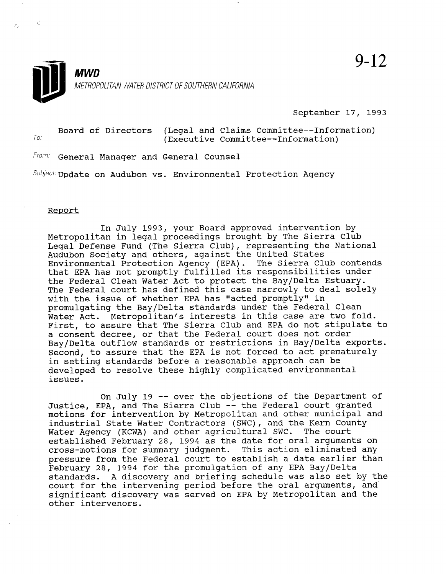

9-12

September 17, 1993

Board of Directors (Legal and Claims Committee--Information)<br>(Executive Committee--Information)

From: General Manager and General Counsel

 $Subject$ : Update on Audubon vs. Environmental Protection Agency

Report

Ł.

In July 1993, your Board approved intervention by Metropolitan in legal proceedings brought by The Sierra Club Metropolitan in legal proceedings brought by the Sierra Club<br>Issued Referent Fund (The Sierra Club), representing the Nation Audubon Society and others, against the United States Audubon Society and otners, against the United States<br>The Sierra Club contends that EPA has not promptly fulfilled its responsibilities under the Federal Clean Water Act to protect the Bay/Delta Estuary. the Federal Clean Water Act to protect the Bay/Delta Estuary. The Federal court has defined this case narrowly to deal solely with the issue of whether EPA has "acted promptly" in promulgating the Bay/Delta standards under the Federal Clean Water Act. Metropolitan's interests in this case are two fold. First, to assure that The Sierra Club and EPA do not stipulate to a consent decree, or that the Federal court does not order Bay/Delta outflow standards or restrictions in Bay/Delta exports. Second, to assure that the EPA is not forced to act prematurely in setting standards before a reasonable approach can be developed to resolve these highly complicated environmental issues.

On July 19  $-$  over the objections of the Department of Justice, EPA, and The Sierra Club -- the Federal court granted motions for intervention by Metropolitan and other municipal and industrial State Water Contractors (SWC), and the Kern County Water Agency (KCWA) and other agricultural SWC. The court established February 28, 1994 as the date for oral arguments on cross-motions for summary judgment. This action eliminated any pressure from the Federal court to establish a date earlier than February 28, 1994 for the promulgation of any EPA Bay/Delta standards. A discovery and briefing schedule was also set by the court for the intervening period before the oral arguments, and significant discovery was served on EPA by Metropolitan and the other intervenors.

 $\mathcal{O}(\mathcal{O})$  is the objective of the objective of the objective of the Department of the Department of the Department of the Department of the Department of the Department of the Department of the Department of the Depa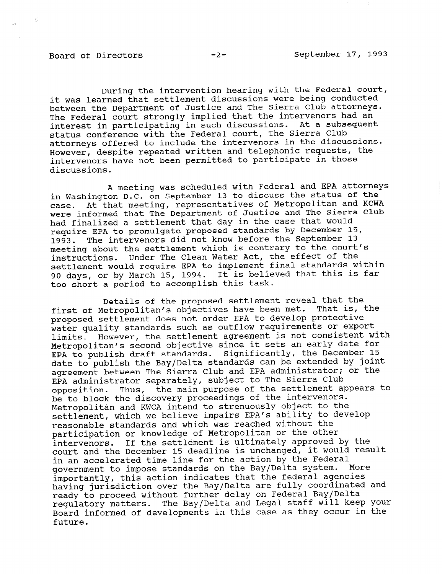Y.

During the intervention hearing with the Federal court, it was learned that settlement discussions were being conducted between the Department of Justice and The Sierra Club attorneys. The Federal court strongly implied that the intervenors had an interest in participating in such discussions. At a subsequent status conference with the Federal court, The Sierra club attorneys offered to include the intervenors in the discussions. However, despite repeated written and telephonic requests, the intervenors have not been permitted to participate in those discussions.

A meeting was scheduled with Federal and EPA attorneys in Washington D.C. on September 13 to discuss the status of the case. At that meeting, representatives of Metropolitan and KCWA were informed that The Department of Justice and The Sierra Club had finalized a settlement that day in the case that would require EPA to promulgate proposed standards by December 15, 1993. The intervenors did not know before the September 13 meeting about the settlement which is contrary to the court's instructions. Under The Clean Water Act, the effect of the settlement would require EPA to implement final standards within 90 days, or by March 15, 1994. It is believed that this is far too short a period to accomplish this task.

Details of the proposed settlement reveal that the first of Metropolitan's objectives have been met. That is, the proposed settlement does not order EPA to develop protective water quality standards such as outflow requirements or export limits. However, the settlement agreement is not consistent with Metropolitan's second objective since it sets an early date for EPA to publish draft standards. Significantly, the December 15 date to publish the Bay/Delta standards can be extended by joint agreement between The Sierra Club and EPA administrator; or the EPA administrator separately, subject to The Sierra Club opposition. Thus, the main purpose of the settlement appears to be to block the discovery proceedings of the intervenors. Metropolitan and KWCA intend to strenuously object to the settlement, which we believe impairs EPA's ability to develop reasonable standards and which was reached without the participation or knowledge of Metropolitan or the other intervenors. If the settlement is ultimately approved by the court and the December 15 deadline is unchanged, it would result in an accelerated time line for the action by the Federal government to impose standards on the Bay/Delta system. More importantly, this action indicates that the federal agencies having jurisdiction over the Bay/Delta are fully coordinated and naving jurisuiction over the bay/bered are rarry occasing<br>ready to proceed without further delay on Federal Bay/Del ready to proceed without further delay on Federal Bay/Delta<br>regulatory matters. The Bay/Delta and Legal staff will keep your Board informed of developments in this case as they occur in the poaru<br>.........